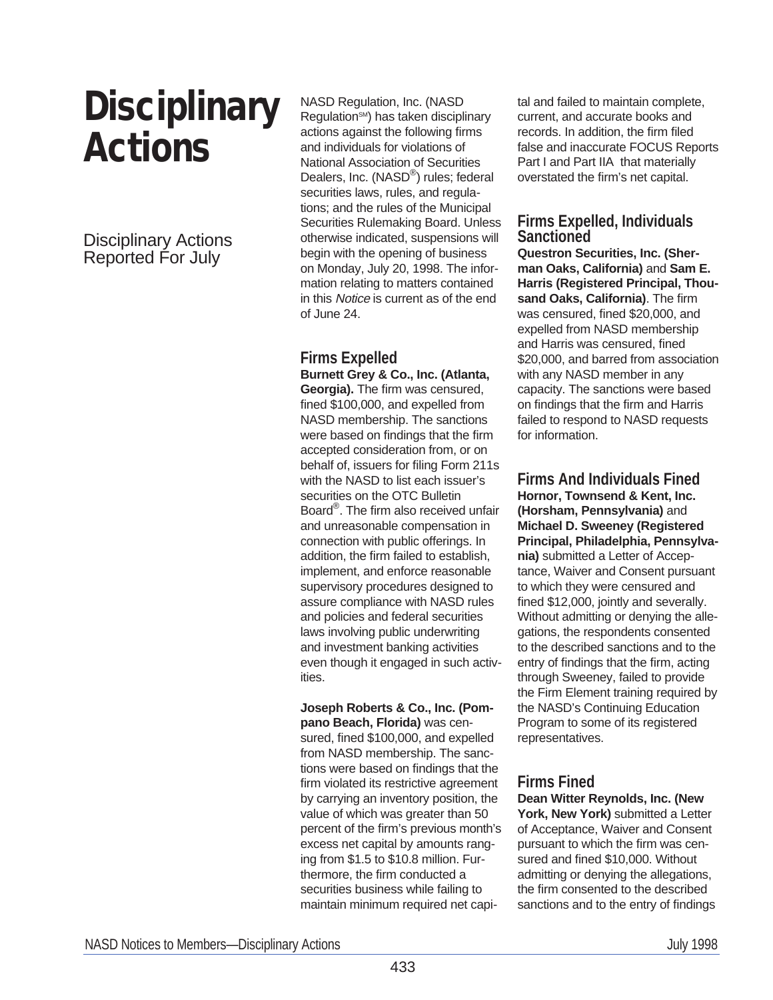# **Disciplinary Actions**

Disciplinary Actions Reported For July

NASD Regulation, Inc. (NASD Regulation<sup>SM</sup>) has taken disciplinary actions against the following firms and individuals for violations of National Association of Securities Dealers, Inc. (NASD®) rules; federal securities laws, rules, and regulations; and the rules of the Municipal Securities Rulemaking Board. Unless otherwise indicated, suspensions will begin with the opening of business on Monday, July 20, 1998. The information relating to matters contained in this Notice is current as of the end of June 24.

# **Firms Expelled**

**Burnett Grey & Co., Inc. (Atlanta, Georgia).** The firm was censured, fined \$100,000, and expelled from NASD membership. The sanctions were based on findings that the firm accepted consideration from, or on behalf of, issuers for filing Form 211s with the NASD to list each issuer's securities on the OTC Bulletin Board®. The firm also received unfair and unreasonable compensation in connection with public offerings. In addition, the firm failed to establish, implement, and enforce reasonable supervisory procedures designed to assure compliance with NASD rules and policies and federal securities laws involving public underwriting and investment banking activities even though it engaged in such activities.

**Joseph Roberts & Co., Inc. (Pompano Beach, Florida)** was censured, fined \$100,000, and expelled from NASD membership. The sanctions were based on findings that the firm violated its restrictive agreement by carrying an inventory position, the value of which was greater than 50 percent of the firm's previous month's excess net capital by amounts ranging from \$1.5 to \$10.8 million. Furthermore, the firm conducted a securities business while failing to maintain minimum required net capital and failed to maintain complete, current, and accurate books and records. In addition, the firm filed false and inaccurate FOCUS Reports Part I and Part IIA that materially overstated the firm's net capital.

# **Firms Expelled, Individuals Sanctioned**

**Questron Securities, Inc. (Sherman Oaks, California)** and **Sam E. Harris (Registered Principal, Thousand Oaks, California)**. The firm was censured, fined \$20,000, and expelled from NASD membership and Harris was censured, fined \$20,000, and barred from association with any NASD member in any capacity. The sanctions were based on findings that the firm and Harris failed to respond to NASD requests for information.

**Firms And Individuals Fined Hornor, Townsend & Kent, Inc. (Horsham, Pennsylvania)** and **Michael D. Sweeney (Registered Principal, Philadelphia, Pennsylvania)** submitted a Letter of Acceptance, Waiver and Consent pursuant to which they were censured and fined \$12,000, jointly and severally. Without admitting or denying the allegations, the respondents consented to the described sanctions and to the entry of findings that the firm, acting through Sweeney, failed to provide the Firm Element training required by the NASD's Continuing Education Program to some of its registered representatives.

# **Firms Fined**

**Dean Witter Reynolds, Inc. (New** York, New York) submitted a Letter of Acceptance, Waiver and Consent pursuant to which the firm was censured and fined \$10,000. Without admitting or denying the allegations, the firm consented to the described sanctions and to the entry of findings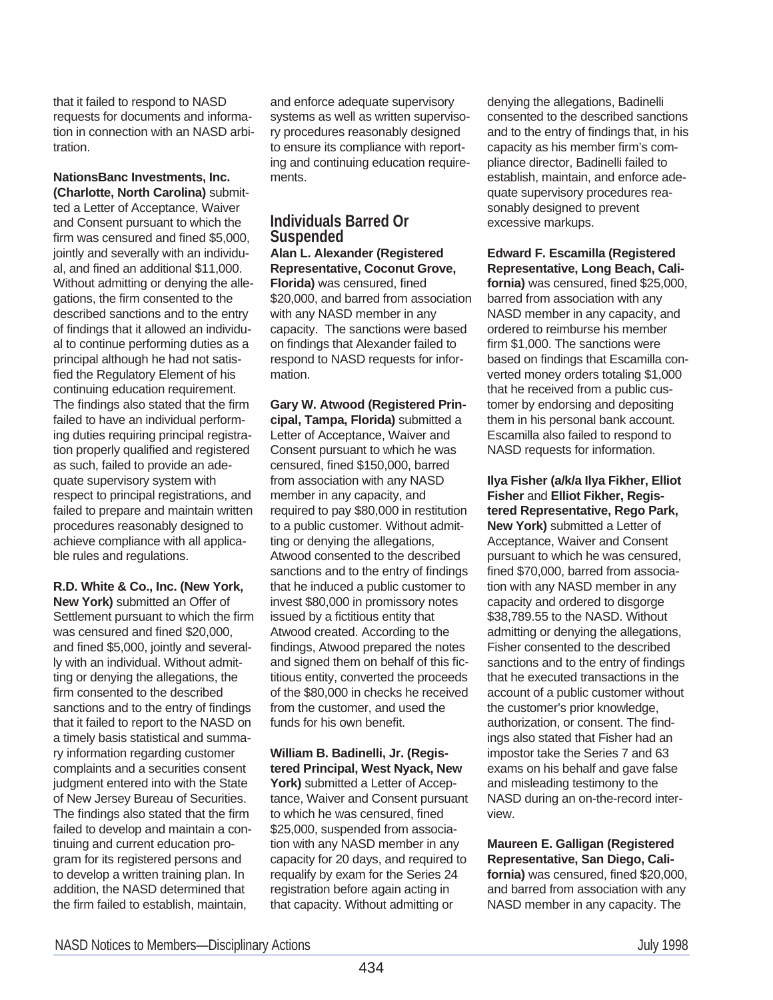that it failed to respond to NASD requests for documents and information in connection with an NASD arbitration.

**NationsBanc Investments, Inc. (Charlotte, North Carolina)** submitted a Letter of Acceptance, Waiver and Consent pursuant to which the firm was censured and fined \$5,000, jointly and severally with an individual, and fined an additional \$11,000. Without admitting or denying the allegations, the firm consented to the described sanctions and to the entry of findings that it allowed an individual to continue performing duties as a principal although he had not satisfied the Regulatory Element of his continuing education requirement. The findings also stated that the firm failed to have an individual performing duties requiring principal registration properly qualified and registered as such, failed to provide an adequate supervisory system with respect to principal registrations, and failed to prepare and maintain written procedures reasonably designed to achieve compliance with all applicable rules and regulations.

**R.D. White & Co., Inc. (New York, New York)** submitted an Offer of Settlement pursuant to which the firm was censured and fined \$20,000, and fined \$5,000, jointly and severally with an individual. Without admitting or denying the allegations, the firm consented to the described sanctions and to the entry of findings that it failed to report to the NASD on a timely basis statistical and summary information regarding customer complaints and a securities consent judgment entered into with the State of New Jersey Bureau of Securities. The findings also stated that the firm failed to develop and maintain a continuing and current education program for its registered persons and to develop a written training plan. In addition, the NASD determined that the firm failed to establish, maintain,

and enforce adequate supervisory systems as well as written supervisory procedures reasonably designed to ensure its compliance with reporting and continuing education requirements.

# **Individuals Barred Or Suspended**

**Alan L. Alexander (Registered Representative, Coconut Grove, Florida)** was censured, fined \$20,000, and barred from association with any NASD member in any capacity. The sanctions were based on findings that Alexander failed to respond to NASD requests for information.

**Gary W. Atwood (Registered Principal, Tampa, Florida)** submitted a Letter of Acceptance, Waiver and Consent pursuant to which he was censured, fined \$150,000, barred from association with any NASD member in any capacity, and required to pay \$80,000 in restitution to a public customer. Without admitting or denying the allegations, Atwood consented to the described sanctions and to the entry of findings that he induced a public customer to invest \$80,000 in promissory notes issued by a fictitious entity that Atwood created. According to the findings, Atwood prepared the notes and signed them on behalf of this fictitious entity, converted the proceeds of the \$80,000 in checks he received from the customer, and used the funds for his own benefit.

**William B. Badinelli, Jr. (Registered Principal, West Nyack, New** York) submitted a Letter of Acceptance, Waiver and Consent pursuant to which he was censured, fined \$25,000, suspended from association with any NASD member in any capacity for 20 days, and required to requalify by exam for the Series 24 registration before again acting in that capacity. Without admitting or

denying the allegations, Badinelli consented to the described sanctions and to the entry of findings that, in his capacity as his member firm's compliance director, Badinelli failed to establish, maintain, and enforce adequate supervisory procedures reasonably designed to prevent excessive markups.

**Edward F. Escamilla (Registered Representative, Long Beach, California)** was censured, fined \$25,000, barred from association with any NASD member in any capacity, and ordered to reimburse his member firm \$1,000. The sanctions were based on findings that Escamilla converted money orders totaling \$1,000 that he received from a public customer by endorsing and depositing them in his personal bank account. Escamilla also failed to respond to NASD requests for information.

**Ilya Fisher (a/k/a Ilya Fikher, Elliot Fisher** and **Elliot Fikher, Registered Representative, Rego Park, New York)** submitted a Letter of Acceptance, Waiver and Consent pursuant to which he was censured, fined \$70,000, barred from association with any NASD member in any capacity and ordered to disgorge \$38,789.55 to the NASD. Without admitting or denying the allegations, Fisher consented to the described sanctions and to the entry of findings that he executed transactions in the account of a public customer without the customer's prior knowledge, authorization, or consent. The findings also stated that Fisher had an impostor take the Series 7 and 63 exams on his behalf and gave false and misleading testimony to the NASD during an on-the-record interview.

**Maureen E. Galligan (Registered Representative, San Diego, California)** was censured, fined \$20,000, and barred from association with any

NASD member in any capacity. The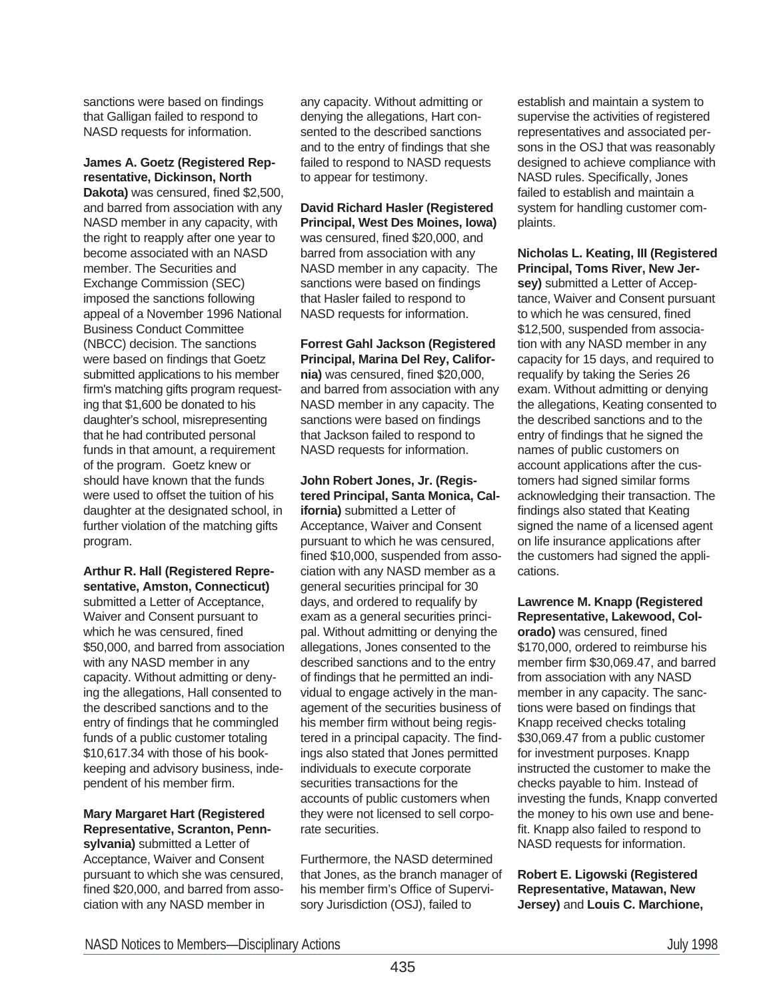sanctions were based on findings that Galligan failed to respond to NASD requests for information.

**James A. Goetz (Registered Representative, Dickinson, North**

**Dakota)** was censured, fined \$2,500, and barred from association with any NASD member in any capacity, with the right to reapply after one year to become associated with an NASD member. The Securities and Exchange Commission (SEC) imposed the sanctions following appeal of a November 1996 National Business Conduct Committee (NBCC) decision. The sanctions were based on findings that Goetz submitted applications to his member firm's matching gifts program requesting that \$1,600 be donated to his daughter's school, misrepresenting that he had contributed personal funds in that amount, a requirement of the program. Goetz knew or should have known that the funds were used to offset the tuition of his daughter at the designated school, in further violation of the matching gifts program.

**Arthur R. Hall (Registered Representative, Amston, Connecticut)**

submitted a Letter of Acceptance, Waiver and Consent pursuant to which he was censured, fined \$50,000, and barred from association with any NASD member in any capacity. Without admitting or denying the allegations, Hall consented to the described sanctions and to the entry of findings that he commingled funds of a public customer totaling \$10,617.34 with those of his bookkeeping and advisory business, independent of his member firm.

**Mary Margaret Hart (Registered Representative, Scranton, Pennsylvania)** submitted a Letter of

Acceptance, Waiver and Consent pursuant to which she was censured, fined \$20,000, and barred from association with any NASD member in

any capacity. Without admitting or denying the allegations, Hart consented to the described sanctions and to the entry of findings that she failed to respond to NASD requests to appear for testimony.

**David Richard Hasler (Registered Principal, West Des Moines, Iowa)** was censured, fined \$20,000, and barred from association with any NASD member in any capacity. The sanctions were based on findings that Hasler failed to respond to NASD requests for information.

**Forrest Gahl Jackson (Registered Principal, Marina Del Rey, California)** was censured, fined \$20,000, and barred from association with any NASD member in any capacity. The sanctions were based on findings that Jackson failed to respond to NASD requests for information.

**John Robert Jones, Jr. (Registered Principal, Santa Monica, California)** submitted a Letter of Acceptance, Waiver and Consent pursuant to which he was censured, fined \$10,000, suspended from association with any NASD member as a general securities principal for 30 days, and ordered to requalify by exam as a general securities principal. Without admitting or denying the allegations, Jones consented to the described sanctions and to the entry of findings that he permitted an individual to engage actively in the management of the securities business of his member firm without being registered in a principal capacity. The findings also stated that Jones permitted individuals to execute corporate securities transactions for the accounts of public customers when they were not licensed to sell corporate securities.

Furthermore, the NASD determined that Jones, as the branch manager of his member firm's Office of Supervisory Jurisdiction (OSJ), failed to

establish and maintain a system to supervise the activities of registered representatives and associated persons in the OSJ that was reasonably designed to achieve compliance with NASD rules. Specifically, Jones failed to establish and maintain a system for handling customer complaints.

**Nicholas L. Keating, III (Registered Principal, Toms River, New Jersey)** submitted a Letter of Acceptance, Waiver and Consent pursuant to which he was censured, fined \$12,500, suspended from association with any NASD member in any capacity for 15 days, and required to requalify by taking the Series 26 exam. Without admitting or denying the allegations, Keating consented to the described sanctions and to the entry of findings that he signed the names of public customers on account applications after the customers had signed similar forms acknowledging their transaction. The findings also stated that Keating signed the name of a licensed agent on life insurance applications after the customers had signed the applications.

**Lawrence M. Knapp (Registered Representative, Lakewood, Col-**

**orado)** was censured, fined \$170,000, ordered to reimburse his member firm \$30,069.47, and barred from association with any NASD member in any capacity. The sanctions were based on findings that Knapp received checks totaling \$30,069.47 from a public customer for investment purposes. Knapp instructed the customer to make the checks payable to him. Instead of investing the funds, Knapp converted the money to his own use and benefit. Knapp also failed to respond to NASD requests for information.

**Robert E. Ligowski (Registered Representative, Matawan, New Jersey)** and **Louis C. Marchione,**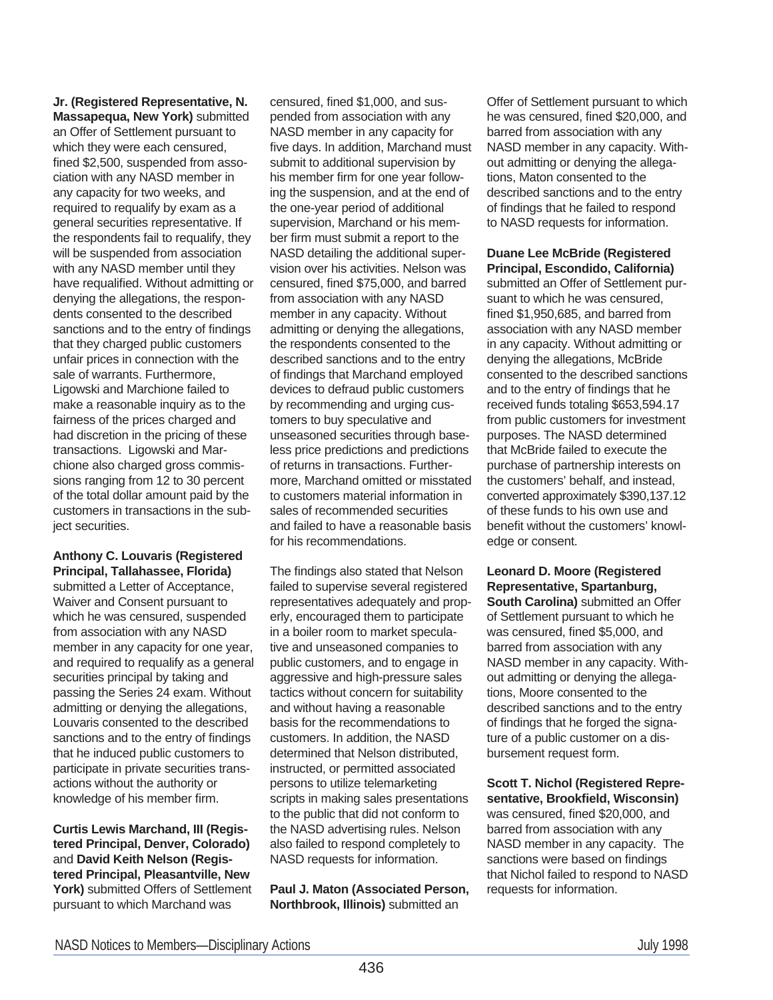**Jr. (Registered Representative, N. Massapequa, New York)** submitted an Offer of Settlement pursuant to which they were each censured, fined \$2,500, suspended from association with any NASD member in any capacity for two weeks, and required to requalify by exam as a general securities representative. If the respondents fail to requalify, they will be suspended from association with any NASD member until they have requalified. Without admitting or denying the allegations, the respondents consented to the described sanctions and to the entry of findings that they charged public customers unfair prices in connection with the sale of warrants. Furthermore, Ligowski and Marchione failed to make a reasonable inquiry as to the fairness of the prices charged and had discretion in the pricing of these transactions. Ligowski and Marchione also charged gross commissions ranging from 12 to 30 percent of the total dollar amount paid by the customers in transactions in the subject securities.

#### **Anthony C. Louvaris (Registered Principal, Tallahassee, Florida)**

submitted a Letter of Acceptance, Waiver and Consent pursuant to which he was censured, suspended from association with any NASD member in any capacity for one year, and required to requalify as a general securities principal by taking and passing the Series 24 exam. Without admitting or denying the allegations, Louvaris consented to the described sanctions and to the entry of findings that he induced public customers to participate in private securities transactions without the authority or knowledge of his member firm.

**Curtis Lewis Marchand, III (Registered Principal, Denver, Colorado)** and **David Keith Nelson (Registered Principal, Pleasantville, New York)** submitted Offers of Settlement pursuant to which Marchand was

censured, fined \$1,000, and suspended from association with any NASD member in any capacity for five days. In addition, Marchand must submit to additional supervision by his member firm for one year following the suspension, and at the end of the one-year period of additional supervision, Marchand or his member firm must submit a report to the NASD detailing the additional supervision over his activities. Nelson was censured, fined \$75,000, and barred from association with any NASD member in any capacity. Without admitting or denying the allegations, the respondents consented to the described sanctions and to the entry of findings that Marchand employed devices to defraud public customers by recommending and urging customers to buy speculative and unseasoned securities through baseless price predictions and predictions of returns in transactions. Furthermore, Marchand omitted or misstated to customers material information in sales of recommended securities and failed to have a reasonable basis for his recommendations.

The findings also stated that Nelson failed to supervise several registered representatives adequately and properly, encouraged them to participate in a boiler room to market speculative and unseasoned companies to public customers, and to engage in aggressive and high-pressure sales tactics without concern for suitability and without having a reasonable basis for the recommendations to customers. In addition, the NASD determined that Nelson distributed, instructed, or permitted associated persons to utilize telemarketing scripts in making sales presentations to the public that did not conform to the NASD advertising rules. Nelson also failed to respond completely to NASD requests for information.

**Paul J. Maton (Associated Person, Northbrook, Illinois)** submitted an

Offer of Settlement pursuant to which he was censured, fined \$20,000, and barred from association with any NASD member in any capacity. Without admitting or denying the allegations, Maton consented to the described sanctions and to the entry of findings that he failed to respond to NASD requests for information.

**Duane Lee McBride (Registered Principal, Escondido, California)** submitted an Offer of Settlement pursuant to which he was censured, fined \$1,950,685, and barred from association with any NASD member in any capacity. Without admitting or denying the allegations, McBride consented to the described sanctions and to the entry of findings that he received funds totaling \$653,594.17 from public customers for investment purposes. The NASD determined that McBride failed to execute the purchase of partnership interests on the customers' behalf, and instead, converted approximately \$390,137.12 of these funds to his own use and benefit without the customers' knowledge or consent.

**Leonard D. Moore (Registered Representative, Spartanburg, South Carolina)** submitted an Offer of Settlement pursuant to which he was censured, fined \$5,000, and barred from association with any NASD member in any capacity. Without admitting or denying the allegations, Moore consented to the described sanctions and to the entry of findings that he forged the signature of a public customer on a disbursement request form.

**Scott T. Nichol (Registered Representative, Brookfield, Wisconsin)** was censured, fined \$20,000, and barred from association with any NASD member in any capacity. The sanctions were based on findings that Nichol failed to respond to NASD requests for information.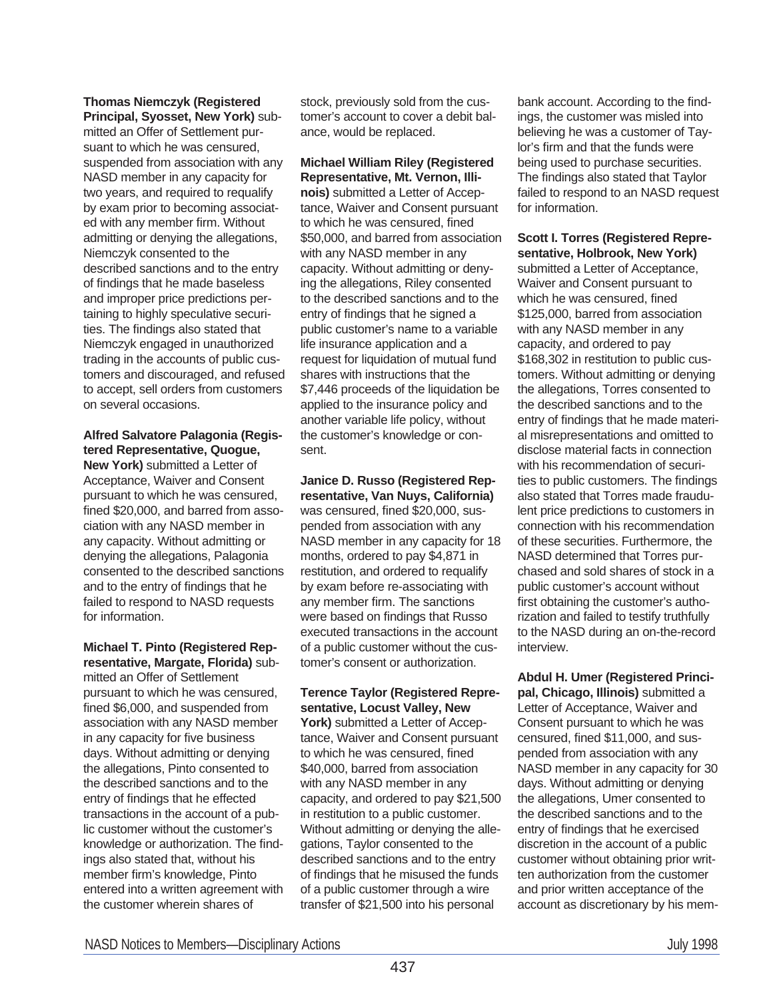# **Thomas Niemczyk (Registered**

**Principal, Syosset, New York)** submitted an Offer of Settlement pursuant to which he was censured, suspended from association with any NASD member in any capacity for two years, and required to requalify by exam prior to becoming associated with any member firm. Without admitting or denying the allegations, Niemczyk consented to the described sanctions and to the entry of findings that he made baseless and improper price predictions pertaining to highly speculative securities. The findings also stated that Niemczyk engaged in unauthorized trading in the accounts of public customers and discouraged, and refused to accept, sell orders from customers on several occasions.

# **Alfred Salvatore Palagonia (Registered Representative, Quogue,**

**New York)** submitted a Letter of Acceptance, Waiver and Consent pursuant to which he was censured, fined \$20,000, and barred from association with any NASD member in any capacity. Without admitting or denying the allegations, Palagonia consented to the described sanctions and to the entry of findings that he failed to respond to NASD requests for information.

**Michael T. Pinto (Registered Representative, Margate, Florida)** submitted an Offer of Settlement pursuant to which he was censured, fined \$6,000, and suspended from association with any NASD member in any capacity for five business days. Without admitting or denying the allegations, Pinto consented to the described sanctions and to the entry of findings that he effected transactions in the account of a public customer without the customer's knowledge or authorization. The findings also stated that, without his member firm's knowledge, Pinto entered into a written agreement with the customer wherein shares of

stock, previously sold from the customer's account to cover a debit balance, would be replaced.

#### **Michael William Riley (Registered Representative, Mt. Vernon, Illi-**

**nois)** submitted a Letter of Acceptance, Waiver and Consent pursuant to which he was censured, fined \$50,000, and barred from association with any NASD member in any capacity. Without admitting or denying the allegations, Riley consented to the described sanctions and to the entry of findings that he signed a public customer's name to a variable life insurance application and a request for liquidation of mutual fund shares with instructions that the \$7,446 proceeds of the liquidation be applied to the insurance policy and another variable life policy, without the customer's knowledge or consent.

# **Janice D. Russo (Registered Rep-**

**resentative, Van Nuys, California)** was censured, fined \$20,000, suspended from association with any NASD member in any capacity for 18 months, ordered to pay \$4,871 in restitution, and ordered to requalify by exam before re-associating with any member firm. The sanctions were based on findings that Russo executed transactions in the account of a public customer without the customer's consent or authorization.

## **Terence Taylor (Registered Representative, Locust Valley, New**

York) submitted a Letter of Acceptance, Waiver and Consent pursuant to which he was censured, fined \$40,000, barred from association with any NASD member in any capacity, and ordered to pay \$21,500 in restitution to a public customer. Without admitting or denying the allegations, Taylor consented to the described sanctions and to the entry of findings that he misused the funds of a public customer through a wire transfer of \$21,500 into his personal

bank account. According to the findings, the customer was misled into believing he was a customer of Taylor's firm and that the funds were being used to purchase securities. The findings also stated that Taylor failed to respond to an NASD request for information.

#### **Scott I. Torres (Registered Representative, Holbrook, New York)**

submitted a Letter of Acceptance, Waiver and Consent pursuant to which he was censured, fined \$125,000, barred from association with any NASD member in any capacity, and ordered to pay \$168,302 in restitution to public customers. Without admitting or denying the allegations, Torres consented to the described sanctions and to the entry of findings that he made material misrepresentations and omitted to disclose material facts in connection with his recommendation of securities to public customers. The findings also stated that Torres made fraudulent price predictions to customers in connection with his recommendation of these securities. Furthermore, the NASD determined that Torres purchased and sold shares of stock in a public customer's account without first obtaining the customer's authorization and failed to testify truthfully to the NASD during an on-the-record interview.

**Abdul H. Umer (Registered Principal, Chicago, Illinois)** submitted a Letter of Acceptance, Waiver and Consent pursuant to which he was censured, fined \$11,000, and suspended from association with any NASD member in any capacity for 30 days. Without admitting or denying the allegations, Umer consented to the described sanctions and to the entry of findings that he exercised discretion in the account of a public customer without obtaining prior written authorization from the customer and prior written acceptance of the account as discretionary by his mem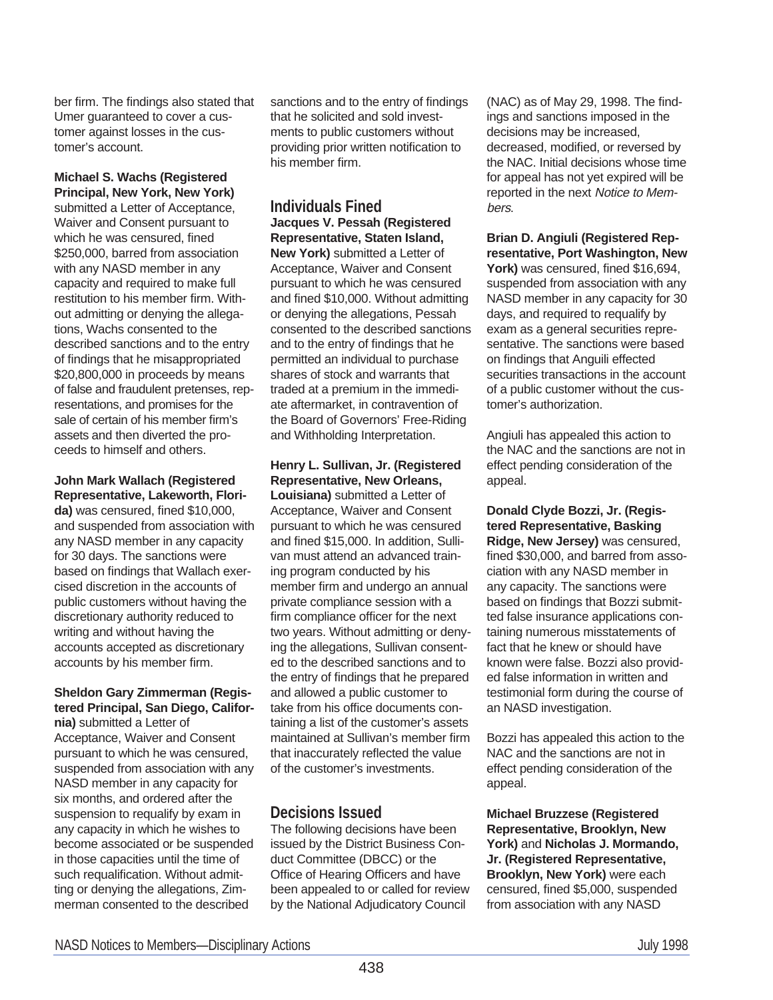ber firm. The findings also stated that Umer guaranteed to cover a customer against losses in the customer's account.

#### **Michael S. Wachs (Registered Principal, New York, New York)**

submitted a Letter of Acceptance, Waiver and Consent pursuant to which he was censured, fined \$250,000, barred from association with any NASD member in any capacity and required to make full restitution to his member firm. Without admitting or denying the allegations, Wachs consented to the described sanctions and to the entry of findings that he misappropriated \$20,800,000 in proceeds by means of false and fraudulent pretenses, representations, and promises for the sale of certain of his member firm's assets and then diverted the proceeds to himself and others.

#### **John Mark Wallach (Registered Representative, Lakeworth, Flori-**

**da)** was censured, fined \$10,000, and suspended from association with any NASD member in any capacity for 30 days. The sanctions were based on findings that Wallach exercised discretion in the accounts of public customers without having the discretionary authority reduced to writing and without having the accounts accepted as discretionary accounts by his member firm.

#### **Sheldon Gary Zimmerman (Registered Principal, San Diego, California)** submitted a Letter of

Acceptance, Waiver and Consent pursuant to which he was censured, suspended from association with any NASD member in any capacity for six months, and ordered after the suspension to requalify by exam in any capacity in which he wishes to become associated or be suspended in those capacities until the time of such requalification. Without admitting or denying the allegations, Zimmerman consented to the described

sanctions and to the entry of findings that he solicited and sold investments to public customers without providing prior written notification to his member firm.

## **Individuals Fined Jacques V. Pessah (Registered**

**Representative, Staten Island, New York)** submitted a Letter of Acceptance, Waiver and Consent pursuant to which he was censured and fined \$10,000. Without admitting or denying the allegations, Pessah consented to the described sanctions and to the entry of findings that he permitted an individual to purchase shares of stock and warrants that traded at a premium in the immediate aftermarket, in contravention of the Board of Governors' Free-Riding and Withholding Interpretation.

# **Henry L. Sullivan, Jr. (Registered Representative, New Orleans,**

**Louisiana)** submitted a Letter of Acceptance, Waiver and Consent pursuant to which he was censured and fined \$15,000. In addition, Sullivan must attend an advanced training program conducted by his member firm and undergo an annual private compliance session with a firm compliance officer for the next two years. Without admitting or denying the allegations, Sullivan consented to the described sanctions and to the entry of findings that he prepared and allowed a public customer to take from his office documents containing a list of the customer's assets maintained at Sullivan's member firm that inaccurately reflected the value of the customer's investments.

# **Decisions Issued**

The following decisions have been issued by the District Business Conduct Committee (DBCC) or the Office of Hearing Officers and have been appealed to or called for review by the National Adjudicatory Council

(NAC) as of May 29, 1998. The findings and sanctions imposed in the decisions may be increased, decreased, modified, or reversed by the NAC. Initial decisions whose time for appeal has not yet expired will be reported in the next Notice to Members.

**Brian D. Angiuli (Registered Representative, Port Washington, New York)** was censured, fined \$16,694, suspended from association with any NASD member in any capacity for 30 days, and required to requalify by exam as a general securities representative. The sanctions were based on findings that Anguili effected securities transactions in the account of a public customer without the customer's authorization.

Angiuli has appealed this action to the NAC and the sanctions are not in effect pending consideration of the appeal.

**Donald Clyde Bozzi, Jr. (Registered Representative, Basking Ridge, New Jersey)** was censured, fined \$30,000, and barred from association with any NASD member in any capacity. The sanctions were based on findings that Bozzi submitted false insurance applications containing numerous misstatements of fact that he knew or should have known were false. Bozzi also provided false information in written and testimonial form during the course of an NASD investigation.

Bozzi has appealed this action to the NAC and the sanctions are not in effect pending consideration of the appeal.

**Michael Bruzzese (Registered Representative, Brooklyn, New York)** and **Nicholas J. Mormando, Jr. (Registered Representative, Brooklyn, New York)** were each censured, fined \$5,000, suspended from association with any NASD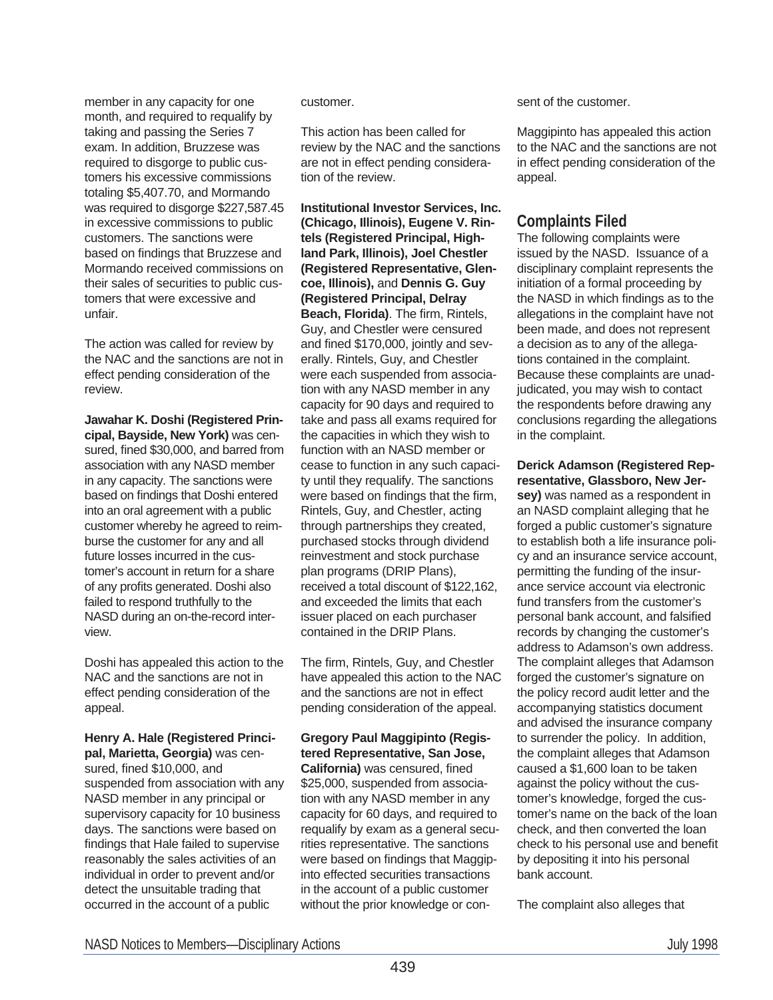member in any capacity for one month, and required to requalify by taking and passing the Series 7 exam. In addition, Bruzzese was required to disgorge to public customers his excessive commissions totaling \$5,407.70, and Mormando was required to disgorge \$227,587.45 in excessive commissions to public customers. The sanctions were based on findings that Bruzzese and Mormando received commissions on their sales of securities to public customers that were excessive and unfair.

The action was called for review by the NAC and the sanctions are not in effect pending consideration of the review.

**Jawahar K. Doshi (Registered Principal, Bayside, New York)** was censured, fined \$30,000, and barred from association with any NASD member in any capacity. The sanctions were based on findings that Doshi entered into an oral agreement with a public customer whereby he agreed to reimburse the customer for any and all future losses incurred in the customer's account in return for a share of any profits generated. Doshi also failed to respond truthfully to the NASD during an on-the-record interview.

Doshi has appealed this action to the NAC and the sanctions are not in effect pending consideration of the appeal.

#### **Henry A. Hale (Registered Principal, Marietta, Georgia)** was cen-

sured, fined \$10,000, and suspended from association with any NASD member in any principal or supervisory capacity for 10 business days. The sanctions were based on findings that Hale failed to supervise reasonably the sales activities of an individual in order to prevent and/or detect the unsuitable trading that occurred in the account of a public

#### customer.

This action has been called for review by the NAC and the sanctions are not in effect pending consideration of the review.

**Institutional Investor Services, Inc. (Chicago, Illinois), Eugene V. Rintels (Registered Principal, Highland Park, Illinois), Joel Chestler (Registered Representative, Glencoe, Illinois),** and **Dennis G. Guy (Registered Principal, Delray Beach, Florida)**. The firm, Rintels, Guy, and Chestler were censured and fined \$170,000, jointly and severally. Rintels, Guy, and Chestler were each suspended from association with any NASD member in any capacity for 90 days and required to take and pass all exams required for the capacities in which they wish to function with an NASD member or cease to function in any such capacity until they requalify. The sanctions were based on findings that the firm, Rintels, Guy, and Chestler, acting through partnerships they created, purchased stocks through dividend reinvestment and stock purchase plan programs (DRIP Plans), received a total discount of \$122,162, and exceeded the limits that each issuer placed on each purchaser contained in the DRIP Plans.

The firm, Rintels, Guy, and Chestler have appealed this action to the NAC and the sanctions are not in effect pending consideration of the appeal.

#### **Gregory Paul Maggipinto (Registered Representative, San Jose, California)** was censured, fined \$25,000, suspended from association with any NASD member in any capacity for 60 days, and required to requalify by exam as a general securities representative. The sanctions were based on findings that Maggipinto effected securities transactions in the account of a public customer

sent of the customer.

Maggipinto has appealed this action to the NAC and the sanctions are not in effect pending consideration of the appeal.

# **Complaints Filed**

The following complaints were issued by the NASD. Issuance of a disciplinary complaint represents the initiation of a formal proceeding by the NASD in which findings as to the allegations in the complaint have not been made, and does not represent a decision as to any of the allegations contained in the complaint. Because these complaints are unadjudicated, you may wish to contact the respondents before drawing any conclusions regarding the allegations in the complaint.

# **Derick Adamson (Registered Representative, Glassboro, New Jer-**

**sey)** was named as a respondent in an NASD complaint alleging that he forged a public customer's signature to establish both a life insurance policy and an insurance service account, permitting the funding of the insurance service account via electronic fund transfers from the customer's personal bank account, and falsified records by changing the customer's address to Adamson's own address. The complaint alleges that Adamson forged the customer's signature on the policy record audit letter and the accompanying statistics document and advised the insurance company to surrender the policy. In addition, the complaint alleges that Adamson caused a \$1,600 loan to be taken against the policy without the customer's knowledge, forged the customer's name on the back of the loan check, and then converted the loan check to his personal use and benefit by depositing it into his personal bank account.

The complaint also alleges that

without the prior knowledge or con-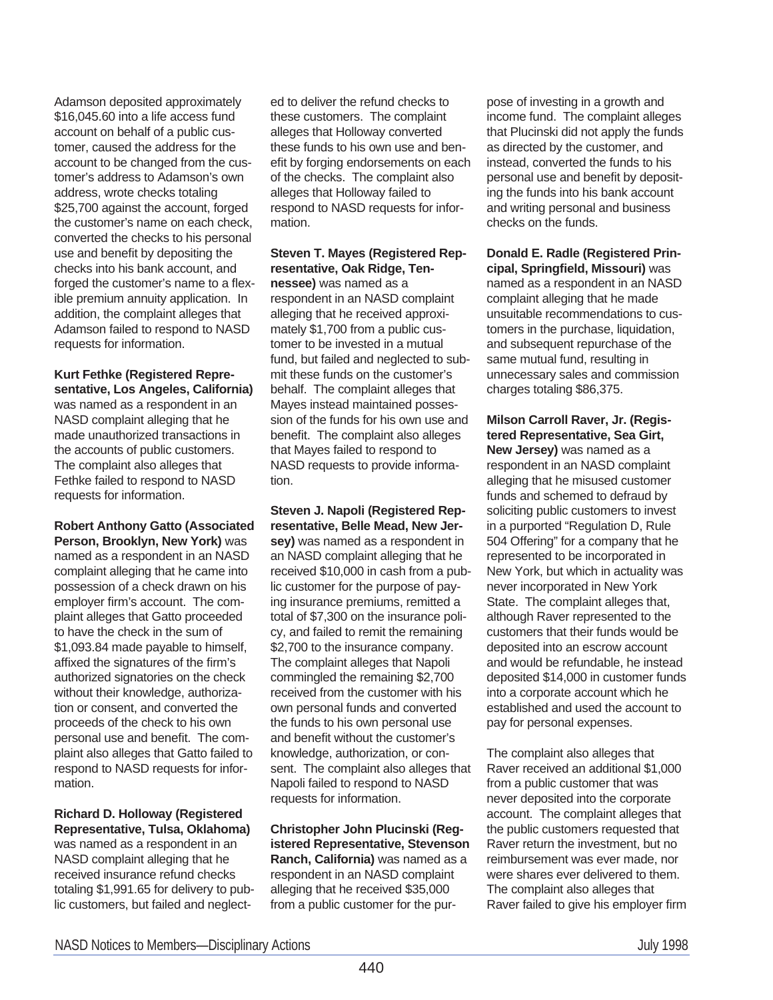Adamson deposited approximately \$16,045.60 into a life access fund account on behalf of a public customer, caused the address for the account to be changed from the customer's address to Adamson's own address, wrote checks totaling \$25,700 against the account, forged the customer's name on each check, converted the checks to his personal use and benefit by depositing the checks into his bank account, and forged the customer's name to a flexible premium annuity application. In addition, the complaint alleges that Adamson failed to respond to NASD requests for information.

**Kurt Fethke (Registered Representative, Los Angeles, California)** was named as a respondent in an NASD complaint alleging that he made unauthorized transactions in the accounts of public customers. The complaint also alleges that Fethke failed to respond to NASD requests for information.

**Robert Anthony Gatto (Associated Person, Brooklyn, New York)** was named as a respondent in an NASD complaint alleging that he came into possession of a check drawn on his employer firm's account. The complaint alleges that Gatto proceeded to have the check in the sum of \$1,093.84 made payable to himself, affixed the signatures of the firm's authorized signatories on the check without their knowledge, authorization or consent, and converted the proceeds of the check to his own personal use and benefit. The complaint also alleges that Gatto failed to respond to NASD requests for information.

**Richard D. Holloway (Registered Representative, Tulsa, Oklahoma)** was named as a respondent in an

NASD complaint alleging that he received insurance refund checks totaling \$1,991.65 for delivery to public customers, but failed and neglected to deliver the refund checks to these customers. The complaint alleges that Holloway converted these funds to his own use and benefit by forging endorsements on each of the checks. The complaint also alleges that Holloway failed to respond to NASD requests for information.

#### **Steven T. Mayes (Registered Representative, Oak Ridge, Tennessee)** was named as a

respondent in an NASD complaint alleging that he received approximately \$1,700 from a public customer to be invested in a mutual fund, but failed and neglected to submit these funds on the customer's behalf. The complaint alleges that Mayes instead maintained possession of the funds for his own use and benefit. The complaint also alleges that Mayes failed to respond to NASD requests to provide information.

**Steven J. Napoli (Registered Representative, Belle Mead, New Jersey)** was named as a respondent in an NASD complaint alleging that he received \$10,000 in cash from a public customer for the purpose of paying insurance premiums, remitted a total of \$7,300 on the insurance policy, and failed to remit the remaining \$2,700 to the insurance company. The complaint alleges that Napoli commingled the remaining \$2,700 received from the customer with his own personal funds and converted the funds to his own personal use and benefit without the customer's knowledge, authorization, or consent. The complaint also alleges that Napoli failed to respond to NASD requests for information.

**Christopher John Plucinski (Registered Representative, Stevenson Ranch, California)** was named as a respondent in an NASD complaint alleging that he received \$35,000 from a public customer for the pur-

pose of investing in a growth and income fund. The complaint alleges that Plucinski did not apply the funds as directed by the customer, and instead, converted the funds to his personal use and benefit by depositing the funds into his bank account and writing personal and business checks on the funds.

**Donald E. Radle (Registered Principal, Springfield, Missouri)** was named as a respondent in an NASD complaint alleging that he made unsuitable recommendations to customers in the purchase, liquidation, and subsequent repurchase of the same mutual fund, resulting in unnecessary sales and commission charges totaling \$86,375.

**Milson Carroll Raver, Jr. (Registered Representative, Sea Girt, New Jersey)** was named as a respondent in an NASD complaint alleging that he misused customer funds and schemed to defraud by soliciting public customers to invest in a purported "Regulation D, Rule 504 Offering" for a company that he represented to be incorporated in New York, but which in actuality was never incorporated in New York State. The complaint alleges that, although Raver represented to the customers that their funds would be deposited into an escrow account and would be refundable, he instead deposited \$14,000 in customer funds into a corporate account which he established and used the account to pay for personal expenses.

The complaint also alleges that Raver received an additional \$1,000 from a public customer that was never deposited into the corporate account. The complaint alleges that the public customers requested that Raver return the investment, but no reimbursement was ever made, nor were shares ever delivered to them. The complaint also alleges that Raver failed to give his employer firm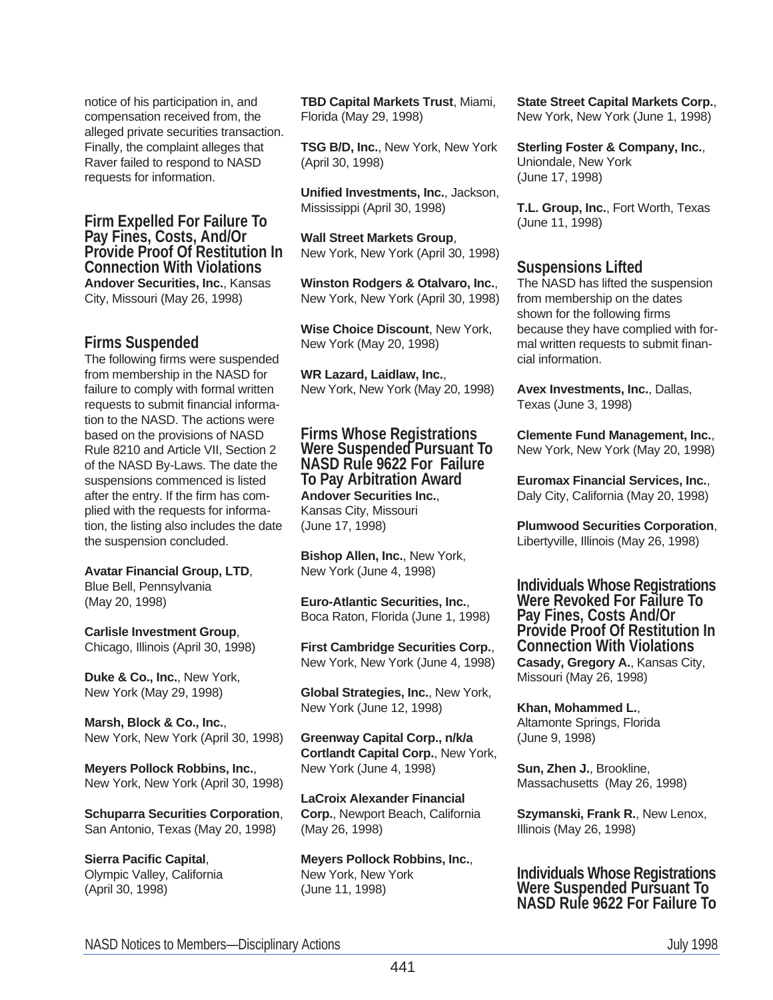notice of his participation in, and compensation received from, the alleged private securities transaction. Finally, the complaint alleges that Raver failed to respond to NASD requests for information.

#### **Firm Expelled For Failure To Pay Fines, Costs, And/Or Provide Proof Of Restitution In Connection With Violations Andover Securities, Inc.**, Kansas City, Missouri (May 26, 1998)

# **Firms Suspended**

The following firms were suspended from membership in the NASD for failure to comply with formal written requests to submit financial information to the NASD. The actions were based on the provisions of NASD Rule 8210 and Article VII, Section 2 of the NASD By-Laws. The date the suspensions commenced is listed after the entry. If the firm has complied with the requests for information, the listing also includes the date the suspension concluded.

**Avatar Financial Group, LTD**, Blue Bell, Pennsylvania

(May 20, 1998)

**Carlisle Investment Group**, Chicago, Illinois (April 30, 1998)

**Duke & Co., Inc.**, New York, New York (May 29, 1998)

**Marsh, Block & Co., Inc.**, New York, New York (April 30, 1998)

**Meyers Pollock Robbins, Inc.**, New York, New York (April 30, 1998)

**Schuparra Securities Corporation**, San Antonio, Texas (May 20, 1998)

**Sierra Pacific Capital**, Olympic Valley, California (April 30, 1998)

**TBD Capital Markets Trust**, Miami, Florida (May 29, 1998)

**TSG B/D, Inc.**, New York, New York (April 30, 1998)

**Unified Investments, Inc.**, Jackson, Mississippi (April 30, 1998)

**Wall Street Markets Group**, New York, New York (April 30, 1998)

**Winston Rodgers & Otalvaro, Inc.**, New York, New York (April 30, 1998)

**Wise Choice Discount**, New York, New York (May 20, 1998)

**WR Lazard, Laidlaw, Inc.**, New York, New York (May 20, 1998)

## **Firms Whose Registrations Were Suspended Pursuant To NASD Rule 9622 For Failure To Pay Arbitration Award Andover Securities Inc.**,

Kansas City, Missouri (June 17, 1998)

**Bishop Allen, Inc.**, New York, New York (June 4, 1998)

**Euro-Atlantic Securities, Inc.**, Boca Raton, Florida (June 1, 1998)

**First Cambridge Securities Corp.**, New York, New York (June 4, 1998)

**Global Strategies, Inc.**, New York, New York (June 12, 1998)

**Greenway Capital Corp., n/k/a Cortlandt Capital Corp.**, New York, New York (June 4, 1998)

**LaCroix Alexander Financial Corp.**, Newport Beach, California (May 26, 1998)

**Meyers Pollock Robbins, Inc.**, New York, New York (June 11, 1998)

**State Street Capital Markets Corp.**, New York, New York (June 1, 1998)

**Sterling Foster & Company, Inc.**, Uniondale, New York (June 17, 1998)

**T.L. Group, Inc.**, Fort Worth, Texas (June 11, 1998)

# **Suspensions Lifted**

The NASD has lifted the suspension from membership on the dates shown for the following firms because they have complied with formal written requests to submit financial information.

**Avex Investments, Inc.**, Dallas, Texas (June 3, 1998)

**Clemente Fund Management, Inc.**, New York, New York (May 20, 1998)

**Euromax Financial Services, Inc.**, Daly City, California (May 20, 1998)

**Plumwood Securities Corporation**, Libertyville, Illinois (May 26, 1998)

**Individuals Whose Registrations Were Revoked For Failure To Pay Fines, Costs And/Or Provide Proof Of Restitution In Connection With Violations Casady, Gregory A.**, Kansas City, Missouri (May 26, 1998)

**Khan, Mohammed L.**, Altamonte Springs, Florida (June 9, 1998)

**Sun, Zhen J.**, Brookline, Massachusetts (May 26, 1998)

**Szymanski, Frank R.**, New Lenox, Illinois (May 26, 1998)

## **Individuals Whose Registrations Were Suspended Pursuant To NASD Rule 9622 For Failure To**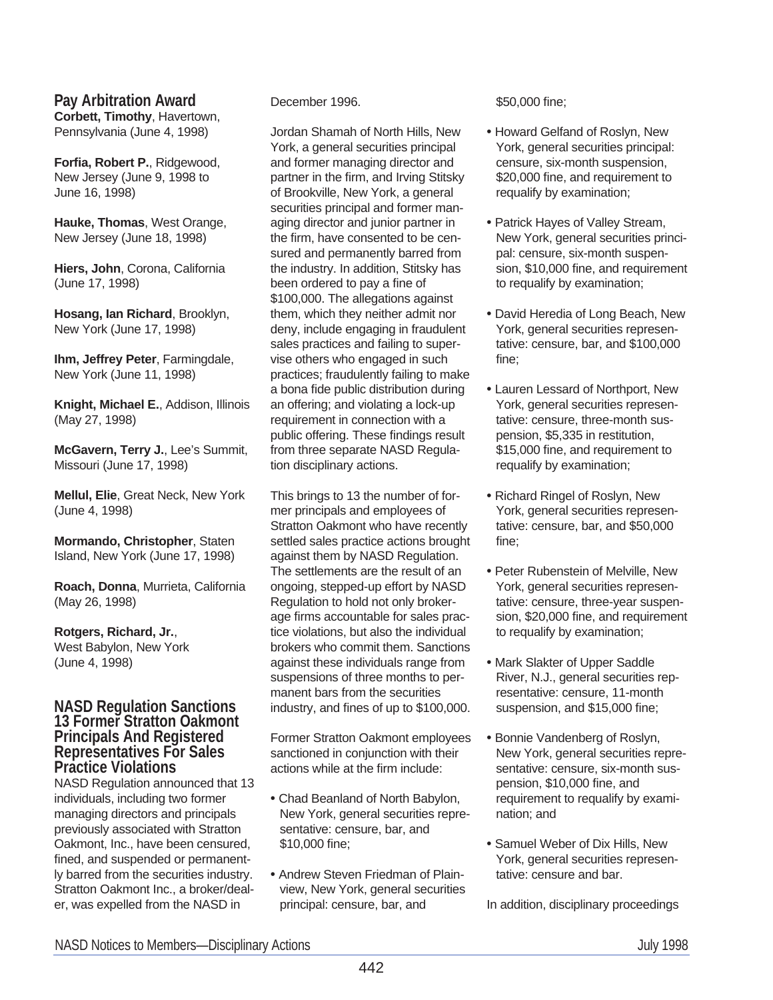# **Pay Arbitration Award**

**Corbett, Timothy**, Havertown, Pennsylvania (June 4, 1998)

**Forfia, Robert P.**, Ridgewood, New Jersey (June 9, 1998 to June 16, 1998)

**Hauke, Thomas**, West Orange, New Jersey (June 18, 1998)

**Hiers, John**, Corona, California (June 17, 1998)

**Hosang, Ian Richard**, Brooklyn, New York (June 17, 1998)

**Ihm, Jeffrey Peter**, Farmingdale, New York (June 11, 1998)

**Knight, Michael E.**, Addison, Illinois (May 27, 1998)

**McGavern, Terry J.**, Lee's Summit, Missouri (June 17, 1998)

**Mellul, Elie**, Great Neck, New York (June 4, 1998)

**Mormando, Christopher**, Staten Island, New York (June 17, 1998)

**Roach, Donna**, Murrieta, California (May 26, 1998)

#### **Rotgers, Richard, Jr.**, West Babylon, New York (June 4, 1998)

#### **NASD Regulation Sanctions 13 Former Stratton Oakmont Principals And Registered Representatives For Sales Practice Violations**

NASD Regulation announced that 13 individuals, including two former managing directors and principals previously associated with Stratton Oakmont, Inc., have been censured, fined, and suspended or permanently barred from the securities industry. Stratton Oakmont Inc., a broker/dealer, was expelled from the NASD in

#### December 1996.

Jordan Shamah of North Hills, New York, a general securities principal and former managing director and partner in the firm, and Irving Stitsky of Brookville, New York, a general securities principal and former managing director and junior partner in the firm, have consented to be censured and permanently barred from the industry. In addition, Stitsky has been ordered to pay a fine of \$100,000. The allegations against them, which they neither admit nor deny, include engaging in fraudulent sales practices and failing to supervise others who engaged in such practices; fraudulently failing to make a bona fide public distribution during an offering; and violating a lock-up requirement in connection with a public offering. These findings result from three separate NASD Regulation disciplinary actions.

This brings to 13 the number of former principals and employees of Stratton Oakmont who have recently settled sales practice actions brought against them by NASD Regulation. The settlements are the result of an ongoing, stepped-up effort by NASD Regulation to hold not only brokerage firms accountable for sales practice violations, but also the individual brokers who commit them. Sanctions against these individuals range from suspensions of three months to permanent bars from the securities industry, and fines of up to \$100,000.

Former Stratton Oakmont employees sanctioned in conjunction with their actions while at the firm include:

- Chad Beanland of North Babylon, New York, general securities representative: censure, bar, and \$10,000 fine;
- Andrew Steven Friedman of Plainview, New York, general securities principal: censure, bar, and

#### \$50,000 fine;

- Howard Gelfand of Roslyn, New York, general securities principal: censure, six-month suspension, \$20,000 fine, and requirement to requalify by examination;
- Patrick Hayes of Valley Stream, New York, general securities principal: censure, six-month suspension, \$10,000 fine, and requirement to requalify by examination;
- David Heredia of Long Beach, New York, general securities representative: censure, bar, and \$100,000 fine;
- Lauren Lessard of Northport, New York, general securities representative: censure, three-month suspension, \$5,335 in restitution, \$15,000 fine, and requirement to requalify by examination;
- Richard Ringel of Roslyn, New York, general securities representative: censure, bar, and \$50,000 fine;
- Peter Rubenstein of Melville, New York, general securities representative: censure, three-year suspension, \$20,000 fine, and requirement to requalify by examination;
- Mark Slakter of Upper Saddle River, N.J., general securities representative: censure, 11-month suspension, and \$15,000 fine;
- Bonnie Vandenberg of Roslyn, New York, general securities representative: censure, six-month suspension, \$10,000 fine, and requirement to requalify by examination; and
- Samuel Weber of Dix Hills, New York, general securities representative: censure and bar.

In addition, disciplinary proceedings